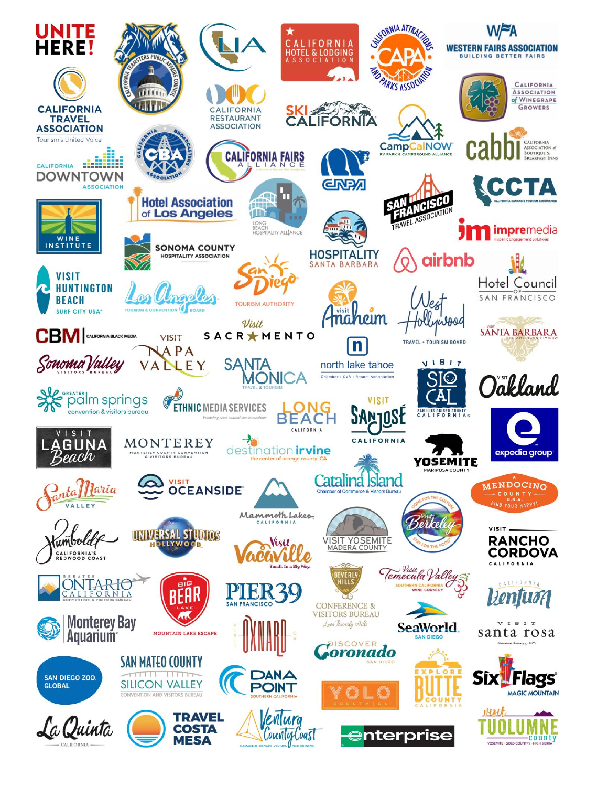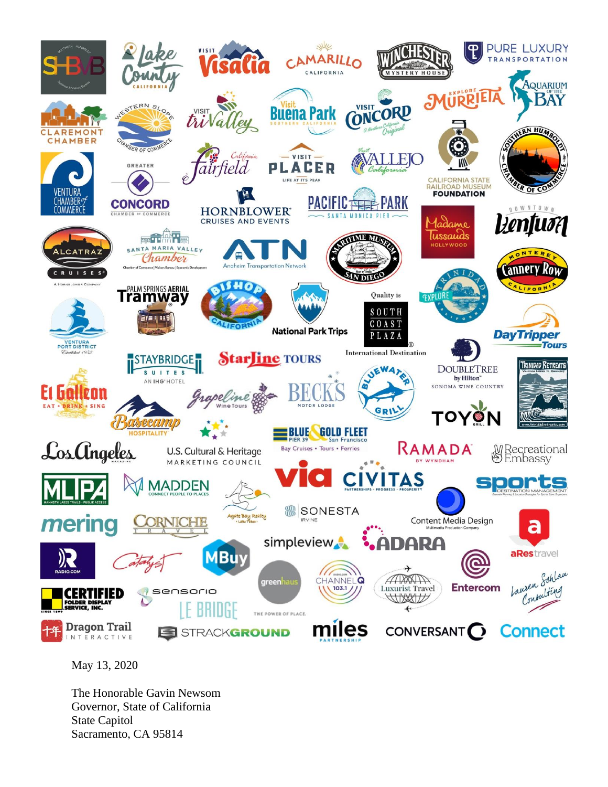

May 13, 2020

The Honorable Gavin Newsom Governor, State of California State Capitol Sacramento, CA 95814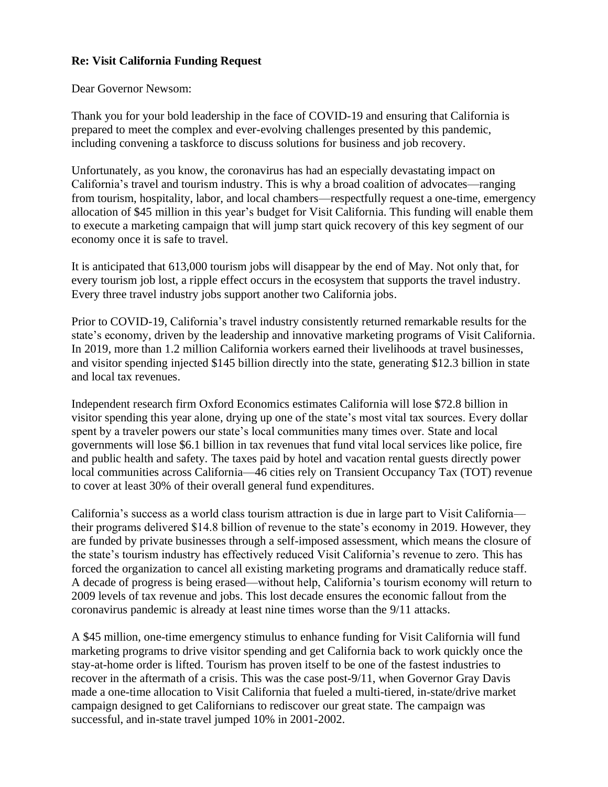## **Re: Visit California Funding Request**

## Dear Governor Newsom:

Thank you for your bold leadership in the face of COVID-19 and ensuring that California is prepared to meet the complex and ever-evolving challenges presented by this pandemic, including convening a taskforce to discuss solutions for business and job recovery.

Unfortunately, as you know, the coronavirus has had an especially devastating impact on California's travel and tourism industry. This is why a broad coalition of advocates—ranging from tourism, hospitality, labor, and local chambers—respectfully request a one-time, emergency allocation of \$45 million in this year's budget for Visit California. This funding will enable them to execute a marketing campaign that will jump start quick recovery of this key segment of our economy once it is safe to travel.

It is anticipated that 613,000 tourism jobs will disappear by the end of May. Not only that, for every tourism job lost, a ripple effect occurs in the ecosystem that supports the travel industry. Every three travel industry jobs support another two California jobs.

Prior to COVID-19, California's travel industry consistently returned remarkable results for the state's economy, driven by the leadership and innovative marketing programs of Visit California. In 2019, more than 1.2 million California workers earned their livelihoods at travel businesses, and visitor spending injected \$145 billion directly into the state, generating \$12.3 billion in state and local tax revenues.

Independent research firm Oxford Economics estimates California will lose \$72.8 billion in visitor spending this year alone, drying up one of the state's most vital tax sources. Every dollar spent by a traveler powers our state's local communities many times over. State and local governments will lose \$6.1 billion in tax revenues that fund vital local services like police, fire and public health and safety. The taxes paid by hotel and vacation rental guests directly power local communities across California—46 cities rely on Transient Occupancy Tax (TOT) revenue to cover at least 30% of their overall general fund expenditures.

California's success as a world class tourism attraction is due in large part to Visit California their programs delivered \$14.8 billion of revenue to the state's economy in 2019. However, they are funded by private businesses through a self-imposed assessment, which means the closure of the state's tourism industry has effectively reduced Visit California's revenue to zero. This has forced the organization to cancel all existing marketing programs and dramatically reduce staff. A decade of progress is being erased—without help, California's tourism economy will return to 2009 levels of tax revenue and jobs. This lost decade ensures the economic fallout from the coronavirus pandemic is already at least nine times worse than the 9/11 attacks.

A \$45 million, one-time emergency stimulus to enhance funding for Visit California will fund marketing programs to drive visitor spending and get California back to work quickly once the stay-at-home order is lifted. Tourism has proven itself to be one of the fastest industries to recover in the aftermath of a crisis. This was the case post-9/11, when Governor Gray Davis made a one-time allocation to Visit California that fueled a multi-tiered, in-state/drive market campaign designed to get Californians to rediscover our great state. The campaign was successful, and in-state travel jumped 10% in 2001-2002.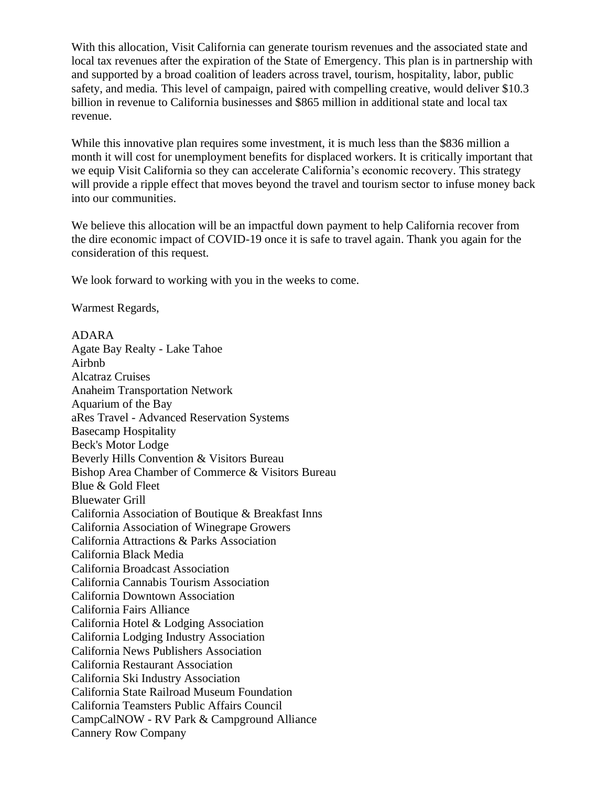With this allocation, Visit California can generate tourism revenues and the associated state and local tax revenues after the expiration of the State of Emergency. This plan is in partnership with and supported by a broad coalition of leaders across travel, tourism, hospitality, labor, public safety, and media. This level of campaign, paired with compelling creative, would deliver \$10.3 billion in revenue to California businesses and \$865 million in additional state and local tax revenue.

While this innovative plan requires some investment, it is much less than the \$836 million a month it will cost for unemployment benefits for displaced workers. It is critically important that we equip Visit California so they can accelerate California's economic recovery. This strategy will provide a ripple effect that moves beyond the travel and tourism sector to infuse money back into our communities.

We believe this allocation will be an impactful down payment to help California recover from the dire economic impact of COVID-19 once it is safe to travel again. Thank you again for the consideration of this request.

We look forward to working with you in the weeks to come.

Warmest Regards,

## ADARA

Agate Bay Realty - Lake Tahoe Airbnb Alcatraz Cruises Anaheim Transportation Network Aquarium of the Bay aRes Travel - Advanced Reservation Systems Basecamp Hospitality Beck's Motor Lodge Beverly Hills Convention & Visitors Bureau Bishop Area Chamber of Commerce & Visitors Bureau Blue & Gold Fleet Bluewater Grill California Association of Boutique & Breakfast Inns California Association of Winegrape Growers California Attractions & Parks Association California Black Media California Broadcast Association California Cannabis Tourism Association California Downtown Association California Fairs Alliance California Hotel & Lodging Association California Lodging Industry Association California News Publishers Association California Restaurant Association California Ski Industry Association California State Railroad Museum Foundation California Teamsters Public Affairs Council CampCalNOW - RV Park & Campground Alliance Cannery Row Company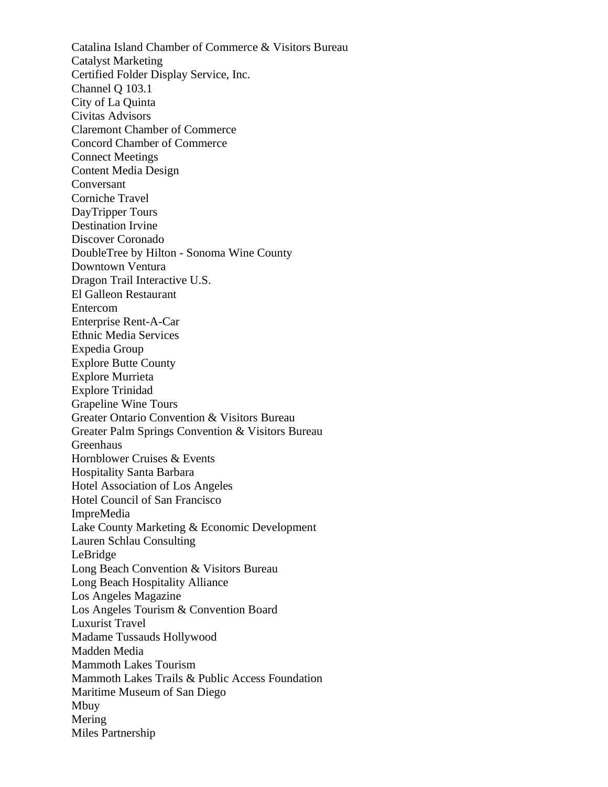Catalina Island Chamber of Commerce & Visitors Bureau Catalyst Marketing Certified Folder Display Service, Inc. Channel Q 103.1 City of La Quinta Civitas Advisors Claremont Chamber of Commerce Concord Chamber of Commerce Connect Meetings Content Media Design Conversant Corniche Travel DayTripper Tours Destination Irvine Discover Coronado DoubleTree by Hilton - Sonoma Wine County Downtown Ventura Dragon Trail Interactive U.S. El Galleon Restaurant Entercom Enterprise Rent-A-Car Ethnic Media Services Expedia Group Explore Butte County Explore Murrieta Explore Trinidad Grapeline Wine Tours Greater Ontario Convention & Visitors Bureau Greater Palm Springs Convention & Visitors Bureau Greenhaus Hornblower Cruises & Events Hospitality Santa Barbara Hotel Association of Los Angeles Hotel Council of San Francisco ImpreMedia Lake County Marketing & Economic Development Lauren Schlau Consulting LeBridge Long Beach Convention & Visitors Bureau Long Beach Hospitality Alliance Los Angeles Magazine Los Angeles Tourism & Convention Board Luxurist Travel Madame Tussauds Hollywood Madden Media Mammoth Lakes Tourism Mammoth Lakes Trails & Public Access Foundation Maritime Museum of San Diego Mbuy Mering Miles Partnership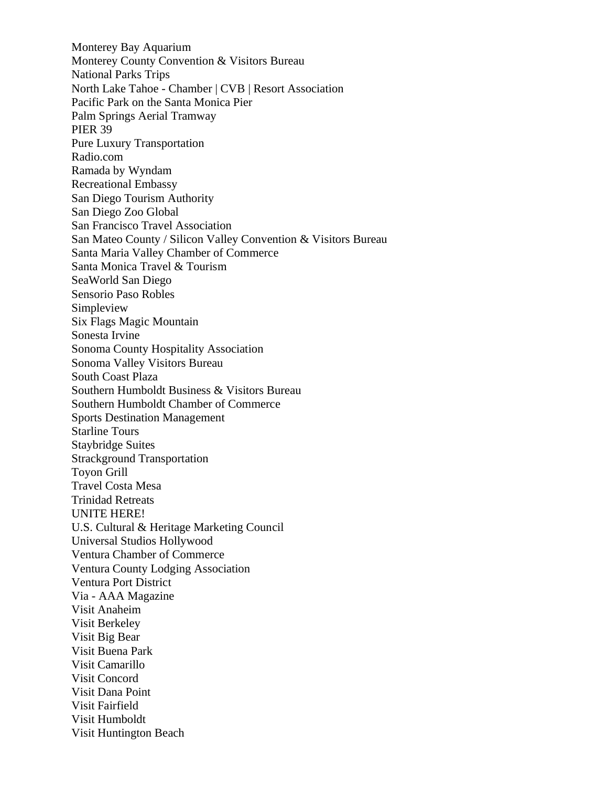Monterey Bay Aquarium Monterey County Convention & Visitors Bureau National Parks Trips North Lake Tahoe - Chamber | CVB | Resort Association Pacific Park on the Santa Monica Pier Palm Springs Aerial Tramway PIER 39 Pure Luxury Transportation Radio.com Ramada by Wyndam Recreational Embassy San Diego Tourism Authority San Diego Zoo Global San Francisco Travel Association San Mateo County / Silicon Valley Convention & Visitors Bureau Santa Maria Valley Chamber of Commerce Santa Monica Travel & Tourism SeaWorld San Diego Sensorio Paso Robles Simpleview Six Flags Magic Mountain Sonesta Irvine Sonoma County Hospitality Association Sonoma Valley Visitors Bureau South Coast Plaza Southern Humboldt Business & Visitors Bureau Southern Humboldt Chamber of Commerce Sports Destination Management Starline Tours Staybridge Suites Strackground Transportation Toyon Grill Travel Costa Mesa Trinidad Retreats UNITE HERE! U.S. Cultural & Heritage Marketing Council Universal Studios Hollywood Ventura Chamber of Commerce Ventura County Lodging Association Ventura Port District Via - AAA Magazine Visit Anaheim Visit Berkeley Visit Big Bear Visit Buena Park Visit Camarillo Visit Concord Visit Dana Point Visit Fairfield Visit Humboldt Visit Huntington Beach